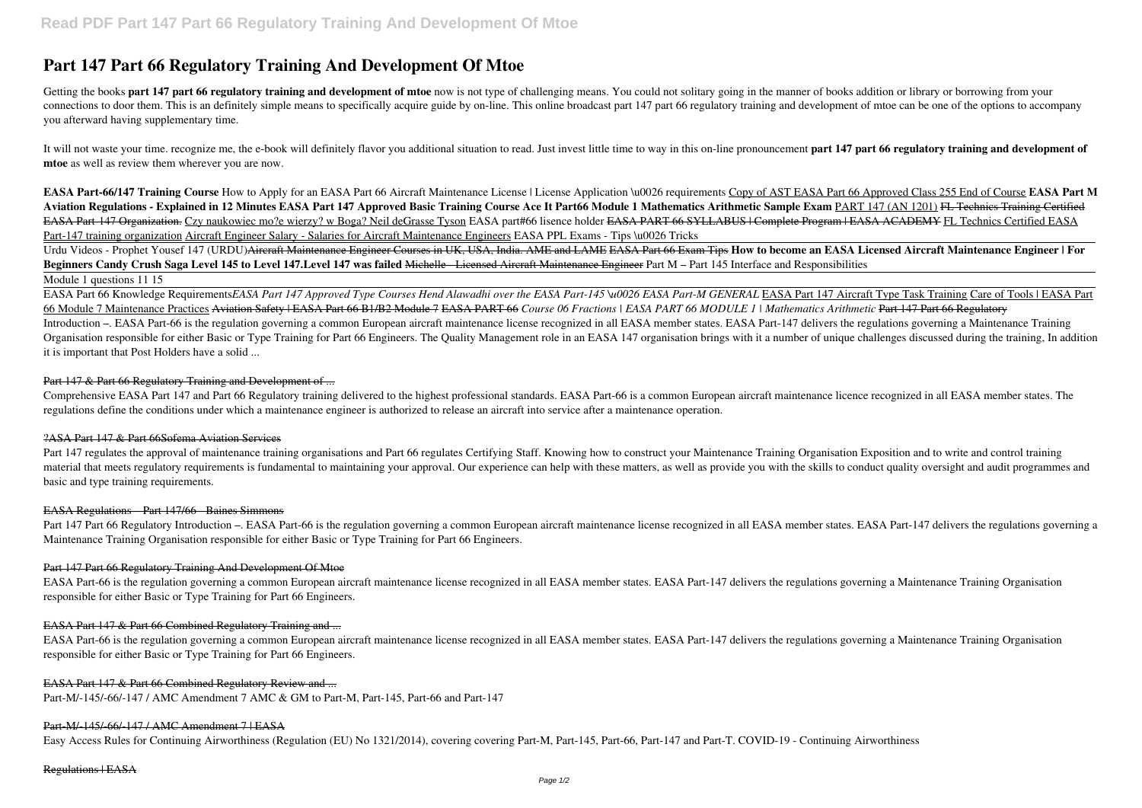# **Part 147 Part 66 Regulatory Training And Development Of Mtoe**

Getting the books **part 147 part 66 regulatory training and development of mtoe** now is not type of challenging means. You could not solitary going in the manner of books addition or library or borrowing from your connections to door them. This is an definitely simple means to specifically acquire guide by on-line. This online broadcast part 147 part 66 regulatory training and development of mtoe can be one of the options to accompany you afterward having supplementary time.

It will not waste your time, recognize me, the e-book will definitely flavor you additional situation to read. Just invest little time to way in this on-line pronouncement part 147 part 66 regulatory training and developme **mtoe** as well as review them wherever you are now.

**EASA Part-66/147 Training Course** How to Apply for an EASA Part 66 Aircraft Maintenance License | License Application \u0026 requirements Copy of AST EASA Part 66 Approved Class 255 End of Course **EASA Part M Aviation Regulations - Explained in 12 Minutes EASA Part 147 Approved Basic Training Course Ace It Part66 Module 1 Mathematics Arithmetic Sample Exam** PART 147 (AN 1201) FL Technics Training Certified EASA Part-147 Organization. Czy naukowiec mo?e wierzy? w Boga? Neil deGrasse Tyson EASA part#66 lisence holder EASA PART 66 SYLLABUS | Complete Program | EASA ACADEMY FL Technics Certified EASA Part-147 training organization Aircraft Engineer Salary - Salaries for Aircraft Maintenance Engineers EASA PPL Exams - Tips \u0026 Tricks

EASA Part 66 Knowledge Requirements*EASA Part 147 Approved Type Courses Hend Alawadhi over the EASA Part-145 \u0026 EASA Part-M GENERAL EASA Part 147 Aircraft Type Task Training Care of Tools | EASA Part* 66 Module 7 Maintenance Practices Aviation Safety | EASA Part 66 B1/B2 Module 7 EASA PART 66 *Course 06 Fractions | EASA PART 66 MODULE 1 | Mathematics Arithmetic* Part 147 Part 66 Regulatory Introduction –. EASA Part-66 is the regulation governing a common European aircraft maintenance license recognized in all EASA member states. EASA Part-147 delivers the regulations governing a Maintenance Training Organisation responsible for either Basic or Type Training for Part 66 Engineers. The Quality Management role in an EASA 147 organisation brings with it a number of unique challenges discussed during the training, In addit it is important that Post Holders have a solid ...

### Part 147 & Part 66 Regulatory Training and Development of ...

Urdu Videos - Prophet Yousef 147 (URDU)Aircraft Maintenance Engineer Courses in UK, USA, India. AME and LAME EASA Part 66 Exam Tips **How to become an EASA Licensed Aircraft Maintenance Engineer | For Beginners Candy Crush Saga Level 145 to Level 147.Level 147 was failed** Michelle - Licensed Aircraft Maintenance Engineer Part M – Part 145 Interface and Responsibilities Module 1 questions 11 15

Part 147 regulates the approval of maintenance training organisations and Part 66 regulates Certifying Staff. Knowing how to construct your Maintenance Training Organisation Exposition and to write and control training material that meets regulatory requirements is fundamental to maintaining your approval. Our experience can help with these matters, as well as provide you with the skills to conduct quality oversight and audit programmes basic and type training requirements.

Part 147 Part 66 Regulatory Introduction –. EASA Part-66 is the regulation governing a common European aircraft maintenance license recognized in all EASA member states. EASA Part-147 delivers the regulations governing a Maintenance Training Organisation responsible for either Basic or Type Training for Part 66 Engineers.

Comprehensive EASA Part 147 and Part 66 Regulatory training delivered to the highest professional standards. EASA Part-66 is a common European aircraft maintenance licence recognized in all EASA member states. The regulations define the conditions under which a maintenance engineer is authorized to release an aircraft into service after a maintenance operation.

#### ?ASA Part 147 & Part 66Sofema Aviation Services

#### EASA Regulations – Part 147/66 - Baines Simmons

# Part 147 Part 66 Regulatory Training And Development Of Mtoe

EASA Part-66 is the regulation governing a common European aircraft maintenance license recognized in all EASA member states. EASA Part-147 delivers the regulations governing a Maintenance Training Organisation responsible for either Basic or Type Training for Part 66 Engineers.

# EASA Part 147 & Part 66 Combined Regulatory Training and ...

EASA Part-66 is the regulation governing a common European aircraft maintenance license recognized in all EASA member states. EASA Part-147 delivers the regulations governing a Maintenance Training Organisation responsible for either Basic or Type Training for Part 66 Engineers.

#### EASA Part 147 & Part 66 Combined Regulatory Review and ...

Part-M/-145/-66/-147 / AMC Amendment 7 AMC & GM to Part-M, Part-145, Part-66 and Part-147

# Part-M/-145/-66/-147 / AMC Amendment 7 | EASA

Easy Access Rules for Continuing Airworthiness (Regulation (EU) No 1321/2014), covering covering Part-M, Part-145, Part-66, Part-147 and Part-T. COVID-19 - Continuing Airworthiness

#### Regulations | EASA